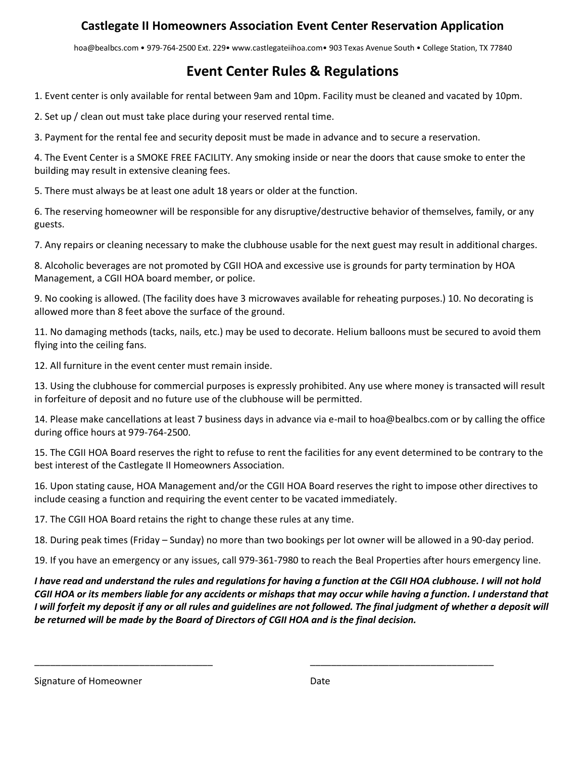## **Castlegate II Homeowners Association Event Center Reservation Application**

hoa@bealbcs.com • 979-764-2500 Ext. 229• www.castlegateiihoa.com• 903 Texas Avenue South • College Station, TX 77840

# **Event Center Rules & Regulations**

1. Event center is only available for rental between 9am and 10pm. Facility must be cleaned and vacated by 10pm.

2. Set up / clean out must take place during your reserved rental time.

3. Payment for the rental fee and security deposit must be made in advance and to secure a reservation.

4. The Event Center is a SMOKE FREE FACILITY. Any smoking inside or near the doors that cause smoke to enter the building may result in extensive cleaning fees.

5. There must always be at least one adult 18 years or older at the function.

6. The reserving homeowner will be responsible for any disruptive/destructive behavior of themselves, family, or any guests.

7. Any repairs or cleaning necessary to make the clubhouse usable for the next guest may result in additional charges.

8. Alcoholic beverages are not promoted by CGII HOA and excessive use is grounds for party termination by HOA Management, a CGII HOA board member, or police.

9. No cooking is allowed. (The facility does have 3 microwaves available for reheating purposes.) 10. No decorating is allowed more than 8 feet above the surface of the ground.

11. No damaging methods (tacks, nails, etc.) may be used to decorate. Helium balloons must be secured to avoid them flying into the ceiling fans.

12. All furniture in the event center must remain inside.

13. Using the clubhouse for commercial purposes is expressly prohibited. Any use where money is transacted will result in forfeiture of deposit and no future use of the clubhouse will be permitted.

14. Please make cancellations at least 7 business days in advance via e-mail to hoa@bealbcs.com or by calling the office during office hours at 979-764-2500.

15. The CGII HOA Board reserves the right to refuse to rent the facilities for any event determined to be contrary to the best interest of the Castlegate II Homeowners Association.

16. Upon stating cause, HOA Management and/or the CGII HOA Board reserves the right to impose other directives to include ceasing a function and requiring the event center to be vacated immediately.

17. The CGII HOA Board retains the right to change these rules at any time.

18. During peak times (Friday – Sunday) no more than two bookings per lot owner will be allowed in a 90-day period.

19. If you have an emergency or any issues, call 979-361-7980 to reach the Beal Properties after hours emergency line.

*I have read and understand the rules and regulations for having a function at the CGII HOA clubhouse. I will not hold CGII HOA or its members liable for any accidents or mishaps that may occur while having a function. I understand that I* will forfeit my deposit if any or all rules and quidelines are not followed. The final judgment of whether a deposit will *be returned will be made by the Board of Directors of CGII HOA and is the final decision.* 

\_\_\_\_\_\_\_\_\_\_\_\_\_\_\_\_\_\_\_\_\_\_\_\_\_\_\_\_\_\_\_\_\_\_ \_\_\_\_\_\_\_\_\_\_\_\_\_\_\_\_\_\_\_\_\_\_\_\_\_\_\_\_\_\_\_\_\_\_\_

Signature of Homeowner **Date** Date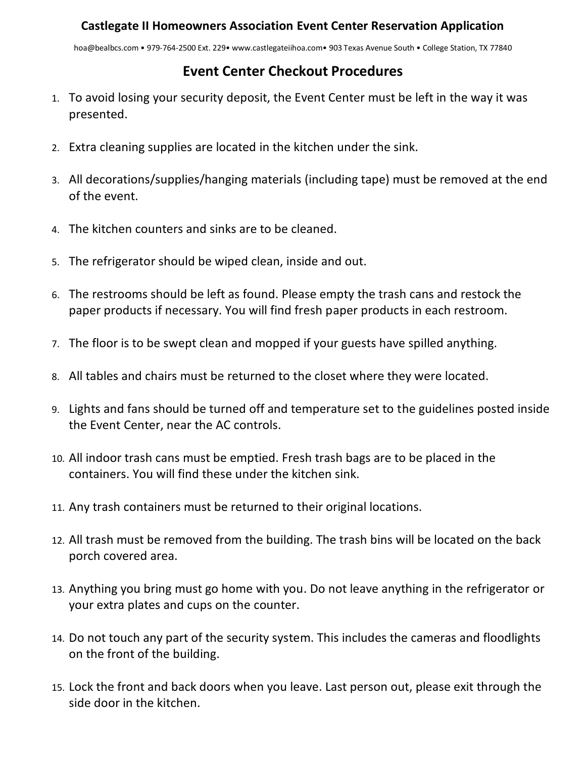hoa@bealbcs.com • 979-764-2500 Ext. 229• www.castlegateiihoa.com• 903 Texas Avenue South • College Station, TX 77840

# **Event Center Checkout Procedures**

- 1. To avoid losing your security deposit, the Event Center must be left in the way it was presented.
- 2. Extra cleaning supplies are located in the kitchen under the sink.
- 3. All decorations/supplies/hanging materials (including tape) must be removed at the end of the event.
- 4. The kitchen counters and sinks are to be cleaned.
- 5. The refrigerator should be wiped clean, inside and out.
- 6. The restrooms should be left as found. Please empty the trash cans and restock the paper products if necessary. You will find fresh paper products in each restroom.
- 7. The floor is to be swept clean and mopped if your guests have spilled anything.
- 8. All tables and chairs must be returned to the closet where they were located.
- 9. Lights and fans should be turned off and temperature set to the guidelines posted inside the Event Center, near the AC controls.
- 10. All indoor trash cans must be emptied. Fresh trash bags are to be placed in the containers. You will find these under the kitchen sink.
- 11. Any trash containers must be returned to their original locations.
- 12. All trash must be removed from the building. The trash bins will be located on the back porch covered area.
- 13. Anything you bring must go home with you. Do not leave anything in the refrigerator or your extra plates and cups on the counter.
- 14. Do not touch any part of the security system. This includes the cameras and floodlights on the front of the building.
- 15. Lock the front and back doors when you leave. Last person out, please exit through the side door in the kitchen.